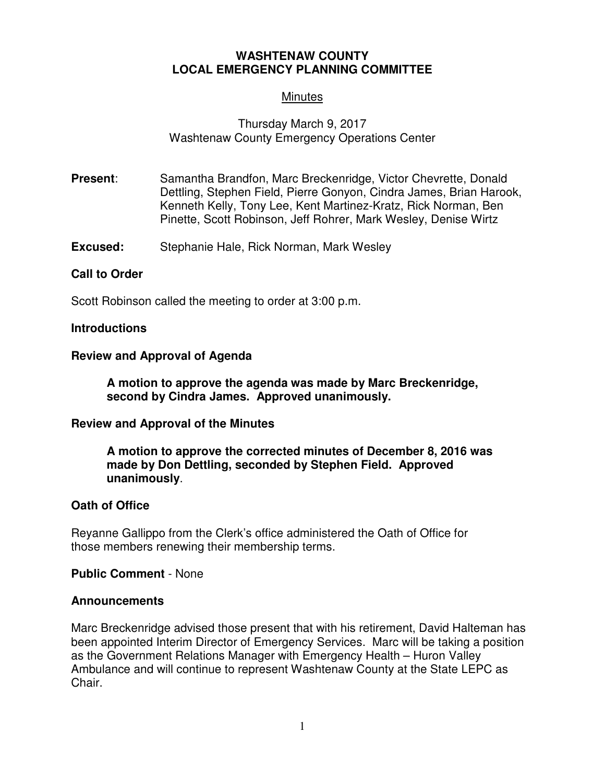# **WASHTENAW COUNTY LOCAL EMERGENCY PLANNING COMMITTEE**

# **Minutes**

# Thursday March 9, 2017 Washtenaw County Emergency Operations Center

- **Present:** Samantha Brandfon, Marc Breckenridge, Victor Chevrette, Donald Dettling, Stephen Field, Pierre Gonyon, Cindra James, Brian Harook, Kenneth Kelly, Tony Lee, Kent Martinez-Kratz, Rick Norman, Ben Pinette, Scott Robinson, Jeff Rohrer, Mark Wesley, Denise Wirtz
- **Excused:** Stephanie Hale, Rick Norman, Mark Wesley

## **Call to Order**

Scott Robinson called the meeting to order at 3:00 p.m.

#### **Introductions**

### **Review and Approval of Agenda**

**A motion to approve the agenda was made by Marc Breckenridge, second by Cindra James. Approved unanimously.** 

#### **Review and Approval of the Minutes**

**A motion to approve the corrected minutes of December 8, 2016 was made by Don Dettling, seconded by Stephen Field. Approved unanimously**.

### **Oath of Office**

Reyanne Gallippo from the Clerk's office administered the Oath of Office for those members renewing their membership terms.

**Public Comment** - None

#### **Announcements**

Marc Breckenridge advised those present that with his retirement, David Halteman has been appointed Interim Director of Emergency Services. Marc will be taking a position as the Government Relations Manager with Emergency Health – Huron Valley Ambulance and will continue to represent Washtenaw County at the State LEPC as Chair.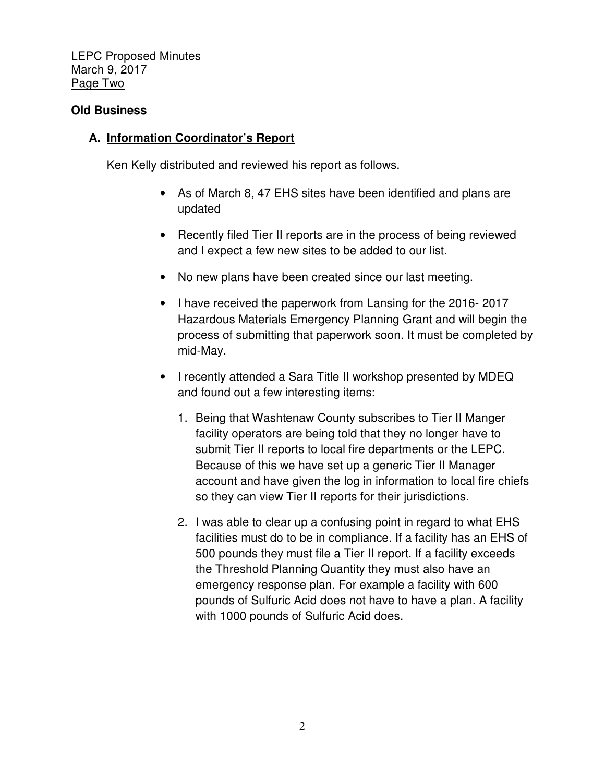LEPC Proposed Minutes March 9, 2017 Page Two

# **Old Business**

# **A. Information Coordinator's Report**

Ken Kelly distributed and reviewed his report as follows.

- As of March 8, 47 EHS sites have been identified and plans are updated
- Recently filed Tier II reports are in the process of being reviewed and I expect a few new sites to be added to our list.
- No new plans have been created since our last meeting.
- I have received the paperwork from Lansing for the 2016- 2017 Hazardous Materials Emergency Planning Grant and will begin the process of submitting that paperwork soon. It must be completed by mid-May.
- I recently attended a Sara Title II workshop presented by MDEQ and found out a few interesting items:
	- 1. Being that Washtenaw County subscribes to Tier II Manger facility operators are being told that they no longer have to submit Tier II reports to local fire departments or the LEPC. Because of this we have set up a generic Tier II Manager account and have given the log in information to local fire chiefs so they can view Tier II reports for their jurisdictions.
	- 2. I was able to clear up a confusing point in regard to what EHS facilities must do to be in compliance. If a facility has an EHS of 500 pounds they must file a Tier II report. If a facility exceeds the Threshold Planning Quantity they must also have an emergency response plan. For example a facility with 600 pounds of Sulfuric Acid does not have to have a plan. A facility with 1000 pounds of Sulfuric Acid does.